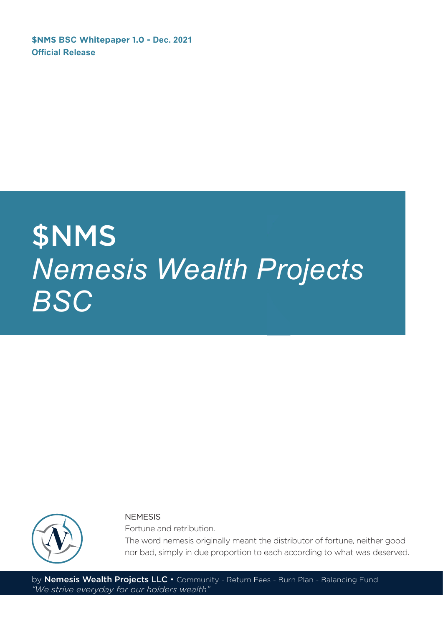**\$NMS BSC Whitepaper 1.0 - Dec. 2021 Official Release**

## \$NMS *Nemesis Wealth Projects BSC*



**NEMESIS** 

Fortune and retribution.

The word nemesis originally meant the distributor of fortune, neither good nor bad, simply in due proportion to each according to what was deserved.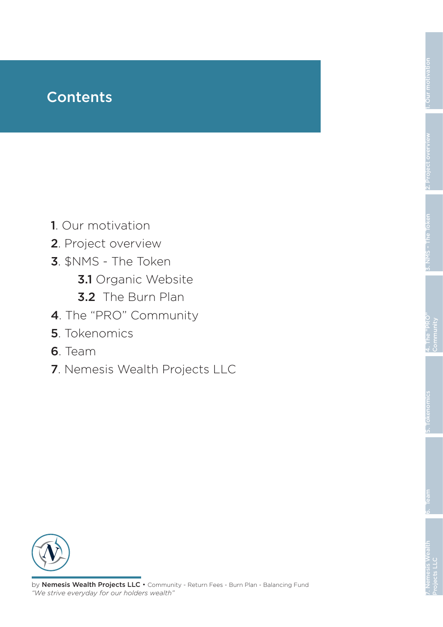### **Contents**

- 1. Our motivation
- 2. Project overview
- 3. \$NMS The Token
	- 3.1 Organic Website
	- 3.2 The Burn Plan
- 4. The "PRO" Community
- 5. Tokenomics
- 6. Team
- 7. Nemesis Wealth Projects LLC

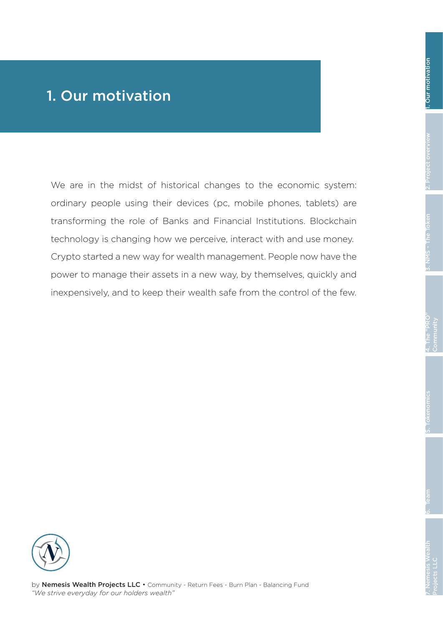### 1. Our motivation

We are in the midst of historical changes to the economic system: ordinary people using their devices (pc, mobile phones, tablets) are transforming the role of Banks and Financial Institutions. Blockchain technology is changing how we perceive, interact with and use money. Crypto started a new way for wealth management. People now have the power to manage their assets in a new way, by themselves, quickly and inexpensively, and to keep their wealth safe from the control of the few.

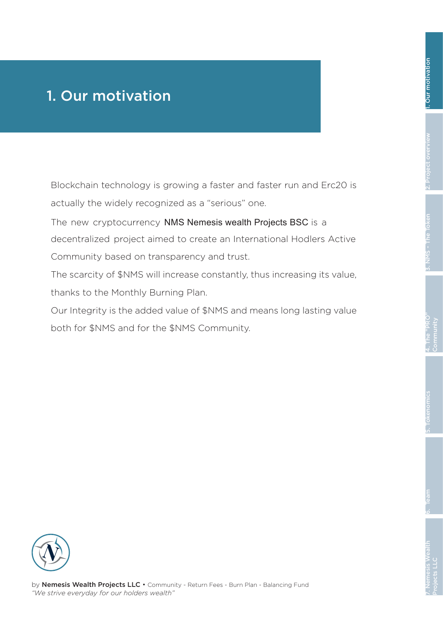### 1. Our motivation

Blockchain technology is growing a faster and faster run and Erc20 is actually the widely recognized as a "serious" one.

The new cryptocurrency NMS Nemesis wealth Projects BSC is a decentralized project aimed to create an International Hodlers Active Community based on transparency and trust.

The scarcity of \$NMS will increase constantly, thus increasing its value, thanks to the Monthly Burning Plan.

Our Integrity is the added value of \$NMS and means long lasting value both for \$NMS and for the \$NMS Community.

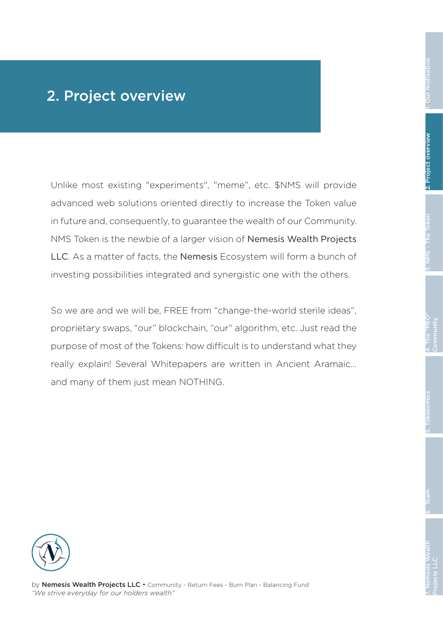### 2. Project overview

Unlike most existing "experiments", "meme", etc. \$NMS will provide advanced web solutions oriented directly to increase the Token value in future and, consequently, to guarantee the wealth of our Community. NMS Token is the newbie of a larger vision of Nemesis Wealth Projects LLC. As a matter of facts, the Nemesis Ecosystem will form a bunch of investing possibilities integrated and synergistic one with the others.

So we are and we will be, FREE from "change-the-world sterile ideas", proprietary swaps, "our" blockchain, "our" algorithm, etc. Just read the purpose of most of the Tokens: how difficult is to understand what they really explain! Several Whitepapers are written in Ancient Aramaic… and many of them just mean NOTHING.

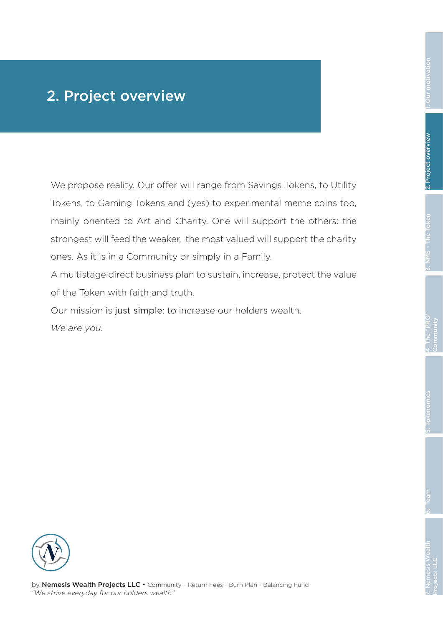### 2. Project overview

We propose reality. Our offer will range from Savings Tokens, to Utility Tokens, to Gaming Tokens and (yes) to experimental meme coins too, mainly oriented to Art and Charity. One will support the others: the strongest will feed the weaker, the most valued will support the charity ones. As it is in a Community or simply in a Family.

A multistage direct business plan to sustain, increase, protect the value of the Token with faith and truth.

Our mission is just simple: to increase our holders wealth.

*We are you.*

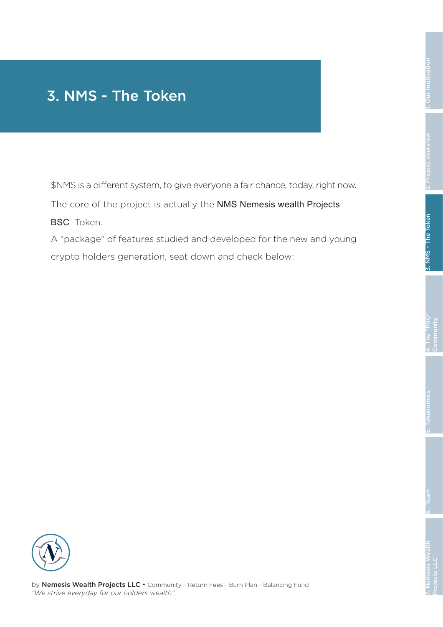### 3. NMS - The Token

\$NMS is a different system, to give everyone a fair chance, today, right now.

The core of the project is actually the NMS Nemesis wealth Projects **BSC** Token.

A "package" of features studied and developed for the new and young crypto holders generation, seat down and check below:

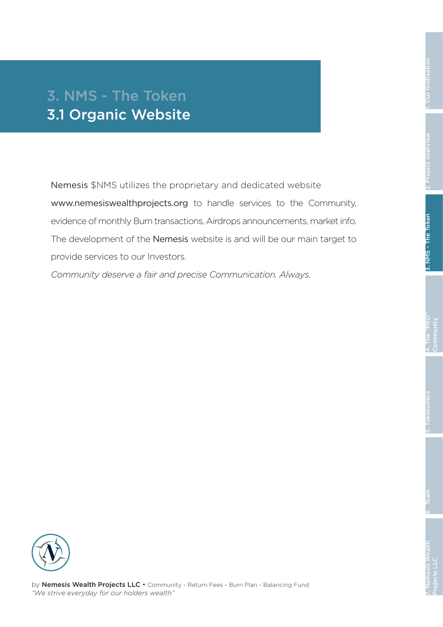Nemesis \$NMS utilizes the proprietary and dedicated website www.nemesiswealthprojects.org to handle services to the Community, evidence of monthly Burn transactions, Airdrops announcements, market info. The development of the Nemesis website is and will be our main target to provide services to our Investors.

*Community deserve a fair and precise Communication. Always.*

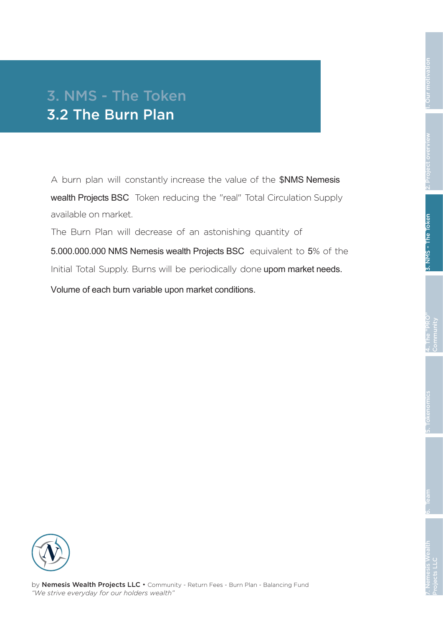A burn plan will constantly increase the value of the \$NMS Nemesis wealth Projects BSC Token reducing the "real" Total Circulation Supply available on market.

The Burn Plan will decrease of an astonishing quantity of

5.000.000.000 NMS Nemesis wealth Projects BSC equivalent to 5% of the Initial Total Supply. Burns will be periodically done upom market needs.

Volume of each burn variable upon market conditions.

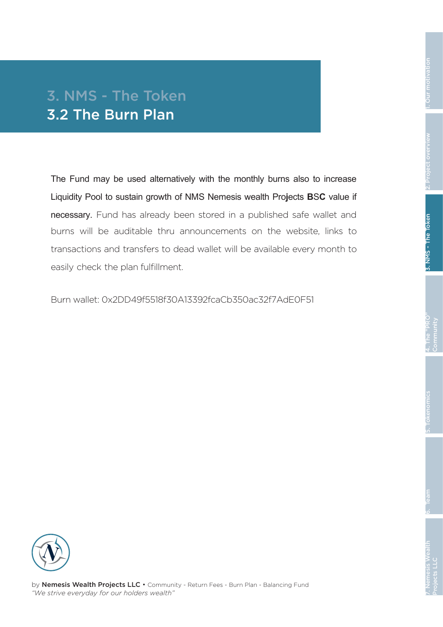### 3. NMS - The Token 3.2 The Burn Plan

The Fund may be used alternatively with the monthly burns also to increase Liquidity Pool to sustain growth of NMS Nemesis wealth Pro**j**ects **B**S**C** value if necessary. Fund has already been stored in a published safe wallet and burns will be auditable thru announcements on the website, links to transactions and transfers to dead wallet will be available every month to easily check the plan fulfillment.

Burn wallet: 0x2DD49f5518f30A13392fcaCb350ac32f7AdE0F51

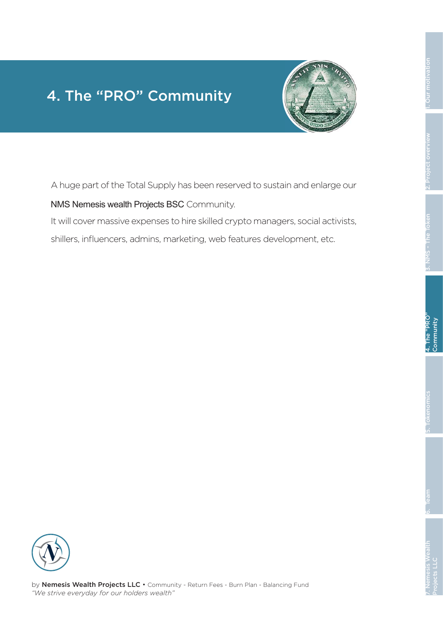# 1. Our motivation

### 4. The "PRO" Community



A huge part of the Total Supply has been reserved to sustain and enlarge our

#### NMS Nemesis wealth Projects BSC Community.

It will cover massive expenses to hire skilled crypto managers, social activists,

shillers, influencers, admins, marketing, web features development, etc.

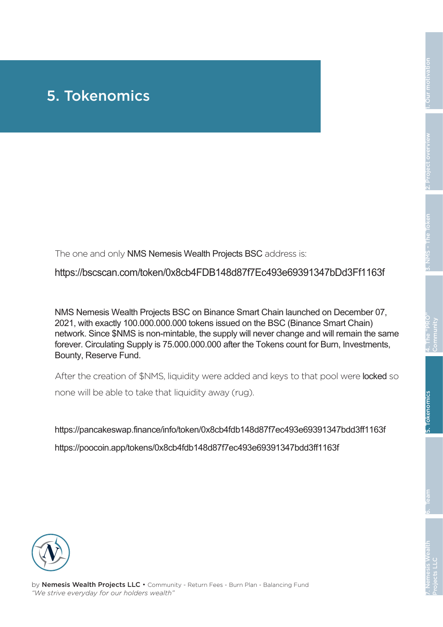### 5. Tokenomics

The one and only NMS Nemesis Wealth Projects BSC address is:

https://bscscan.com/token/0x8cb4FDB148d87f7Ec493e69391347bDd3Ff1163f

NMS Nemesis Wealth Projects BSC on Binance Smart Chain launched on December 07, 2021, with exactly 100.000.000.000 tokens issued on the BSC (Binance Smart Chain) network. Since \$NMS is non-mintable, the supply will never change and will remain the same forever. Circulating Supply is 75.000.000.000 after the Tokens count for Burn, Investments, Bounty, Reserve Fund.

After the creation of \$NMS, liquidity were added and keys to that pool were locked so none will be able to take that liquidity away (rug).

https://pancakeswap.finance/info/token/0x8cb4fdb148d87f7ec493e69391347bdd3ff1163f https://poocoin.app/tokens/0x8cb4fdb148d87f7ec493e69391347bdd3ff1163f

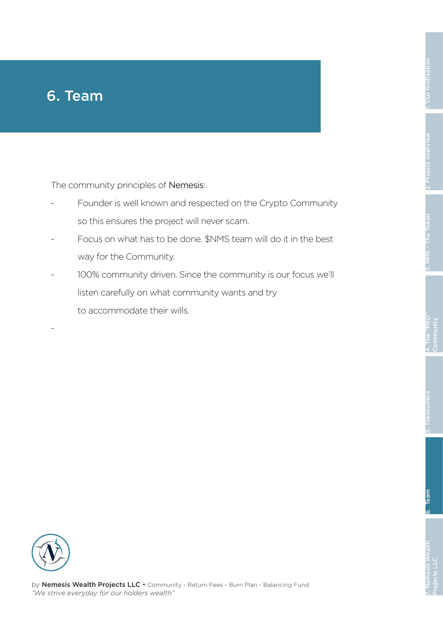The community principles of Nemesis:

- Founder is well known and respected on the Crypto Community so this ensures the project will never scam.
- Focus on what has to be done. \$NMS team will do it in the best way for the Community.
- 100% community driven. Since the community is our focus we'll listen carefully on what community wants and try to accommodate their wills.

-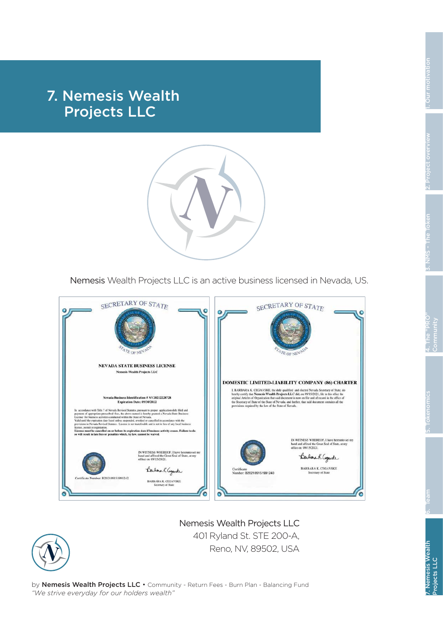### 7. Nemesis Wealth Projects LLC



Nemesis Wealth Projects LLC is an active business licensed in Nevada, US.



Nemesis Wealth Projects LLC 401 Ryland St. STE 200-A, Reno, NV, 89502, USA

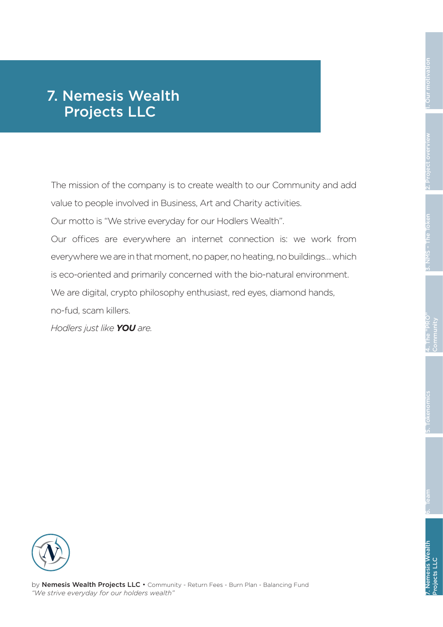### 7. Nemesis Wealth Projects LLC

The mission of the company is to create wealth to our Community and add value to people involved in Business, Art and Charity activities.

Our motto is "We strive everyday for our Hodlers Wealth".

Our offices are everywhere an internet connection is: we work from everywhere we are in that moment, no paper, no heating, no buildings... which is eco-oriented and primarily concerned with the bio-natural environment. We are digital, crypto philosophy enthusiast, red eyes, diamond hands,

no-fud, scam killers.

*Hodlers just like YOU are.*

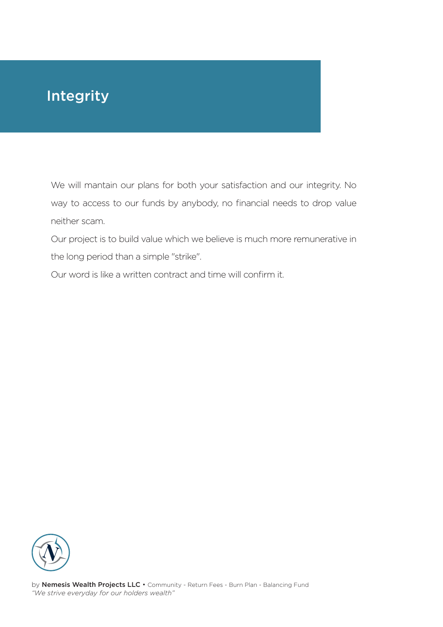### Integrity

We will mantain our plans for both your satisfaction and our integrity. No way to access to our funds by anybody, no financial needs to drop value neither scam.

Our project is to build value which we believe is much more remunerative in the long period than a simple "strike".

Our word is like a written contract and time will confirm it.